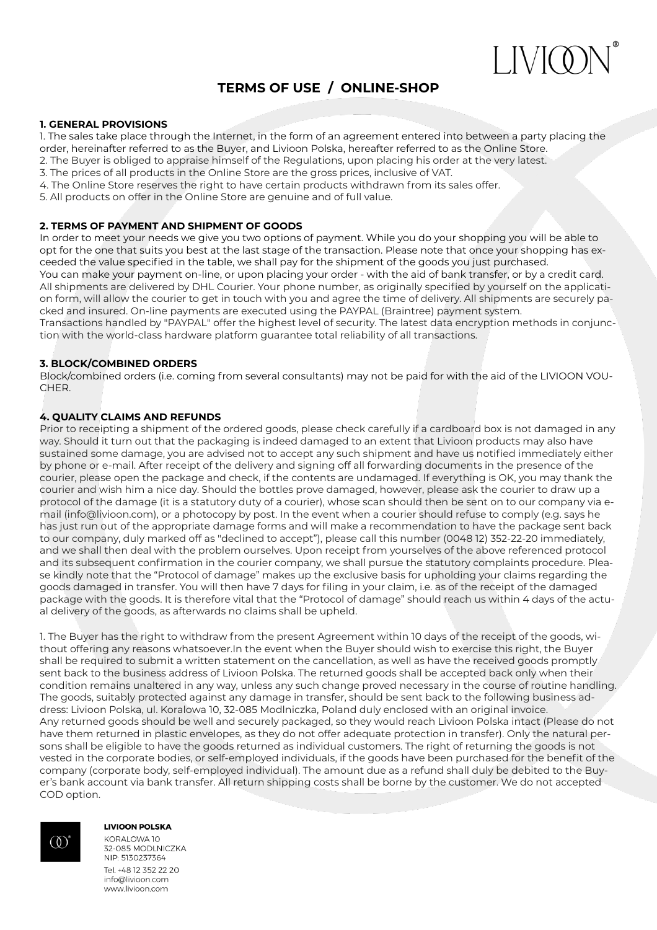

# **TERMS OF USE / ONLINE-SHOP**

### **1. GENERAL PROVISIONS**

1. The sales take place through the Internet, in the form of an agreement entered into between a party placing the

- order, hereinafter referred to as the Buyer, and Livioon Polska, hereafter referred to as the Online Store.
- 2. The Buyer is obliged to appraise himself of the Regulations, upon placing his order at the very latest.
- 3. The prices of all products in the Online Store are the gross prices, inclusive of VAT.
- 4. The Online Store reserves the right to have certain products withdrawn from its sales offer.
- 5. All products on offer in the Online Store are genuine and of full value.

## **2. TERMS OF PAYMENT AND SHIPMENT OF GOODS**

In order to meet your needs we give you two options of payment. While you do your shopping you will be able to opt for the one that suits you best at the last stage of the transaction. Please note that once your shopping has exceeded the value specified in the table, we shall pay for the shipment of the goods you just purchased. You can make your payment on-line, or upon placing your order - with the aid of bank transfer, or by a credit card. All shipments are delivered by DHL Courier. Your phone number, as originally specified by yourself on the application form, will allow the courier to get in touch with you and agree the time of delivery. All shipments are securely packed and insured. On-line payments are executed using the PAYPAL (Braintree) payment system. Transactions handled by "PAYPAL" offer the highest level of security. The latest data encryption methods in conjunction with the world-class hardware platform guarantee total reliability of all transactions.

# **3. BLOCK/COMBINED ORDERS**

Block/combined orders (i.e. coming from several consultants) may not be paid for with the aid of the LIVIOON VOU-CHER.

# **4. QUALITY CLAIMS AND REFUNDS**

Prior to receipting a shipment of the ordered goods, please check carefully if a cardboard box is not damaged in any way. Should it turn out that the packaging is indeed damaged to an extent that Livioon products may also have sustained some damage, you are advised not to accept any such shipment and have us notified immediately either by phone or e-mail. After receipt of the delivery and signing off all forwarding documents in the presence of the courier, please open the package and check, if the contents are undamaged. If everything is OK, you may thank the courier and wish him a nice day. Should the bottles prove damaged, however, please ask the courier to draw up a protocol of the damage (it is a statutory duty of a courier), whose scan should then be sent on to our company via email (info@livioon.com), or a photocopy by post. In the event when a courier should refuse to comply (e.g. says he has just run out of the appropriate damage forms and will make a recommendation to have the package sent back to our company, duly marked off as "declined to accept"), please call this number (0048 12) 352-22-20 immediately, and we shall then deal with the problem ourselves. Upon receipt from yourselves of the above referenced protocol and its subsequent confirmation in the courier company, we shall pursue the statutory complaints procedure. Please kindly note that the "Protocol of damage" makes up the exclusive basis for upholding your claims regarding the goods damaged in transfer. You will then have 7 days for filing in your claim, i.e. as of the receipt of the damaged package with the goods. It is therefore vital that the "Protocol of damage" should reach us within 4 days of the actual delivery of the goods, as afterwards no claims shall be upheld.

1. The Buyer has the right to withdraw from the present Agreement within 10 days of the receipt of the goods, without offering any reasons whatsoever.In the event when the Buyer should wish to exercise this right, the Buyer shall be required to submit a written statement on the cancellation, as well as have the received goods promptly sent back to the business address of Livioon Polska. The returned goods shall be accepted back only when their condition remains unaltered in any way, unless any such change proved necessary in the course of routine handling. The goods, suitably protected against any damage in transfer, should be sent back to the following business address: Livioon Polska, ul. Koralowa 10, 32-085 Modlniczka, Poland duly enclosed with an original invoice. Any returned goods should be well and securely packaged, so they would reach Livioon Polska intact (Please do not have them returned in plastic envelopes, as they do not offer adequate protection in transfer). Only the natural persons shall be eligible to have the goods returned as individual customers. The right of returning the goods is not vested in the corporate bodies, or self-employed individuals, if the goods have been purchased for the benefit of the company (corporate body, self-employed individual). The amount due as a refund shall duly be debited to the Buyer's bank account via bank transfer. All return shipping costs shall be borne by the customer. We do not accepted COD option.



#### **LIVIOON POLSKA**

KORALOWA 10 32-085 MODLNICZKA NIP: 5130237364 Tel +48 12 352 22 20 info@livioon.com www.livioon.com